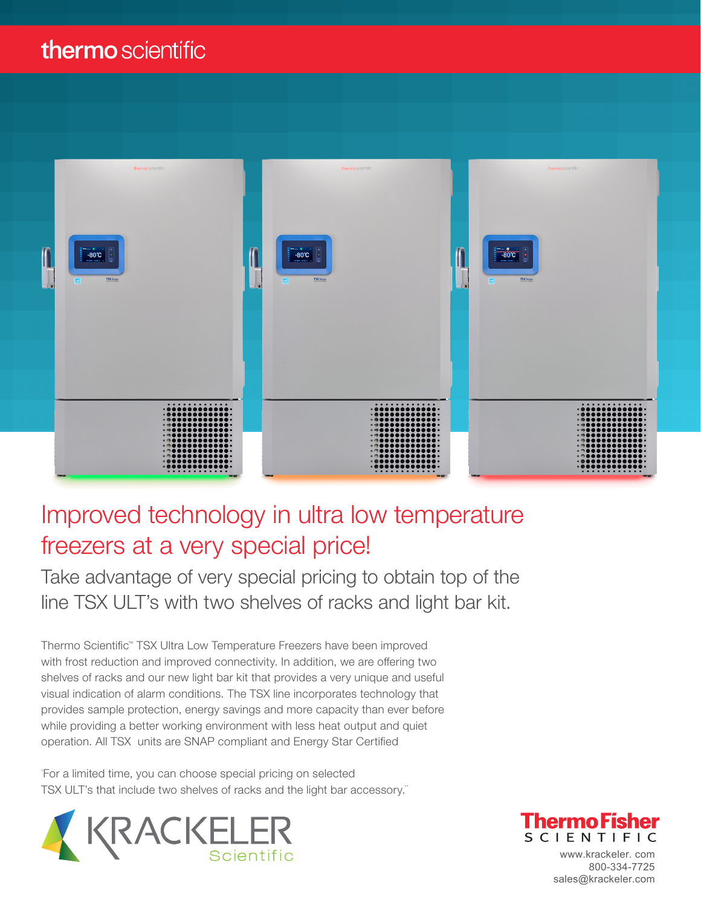## thermo scientific



## Improved technology in ultra low temperature freezers at a very special price!

Take advantage of very special pricing to obtain top of the line TSX ULT's with two shelves of racks and light bar kit.

Thermo Scientific™ TSX Ultra Low Temperature Freezers have been improved with frost reduction and improved connectivity. In addition, we are offering two shelves of racks and our new light bar kit that provides a very unique and useful visual indication of alarm conditions. The TSX line incorporates technology that provides sample protection, energy savings and more capacity than ever before while providing a better working environment with less heat output and quiet operation. All TSX units are SNAP compliant and Energy Star Certified

For a limited time, you can choose special pricing on selected TSX ULT's that include two shelves of racks and the light bar accessory."





www.krackeler. com 800-334-7725 sales@krackeler.com